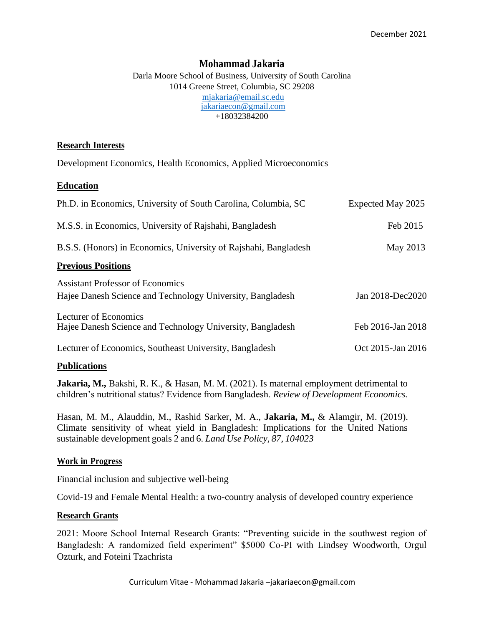# **Mohammad Jakaria**

Darla Moore School of Business, University of South Carolina 1014 Greene Street, Columbia, SC 29208 [mjakaria@email.sc.edu](mailto:mjakaria@email.sc.edu) [jakariaecon@gmail.com](mailto:jakariaecon@gmail.com) +18032384200

## **Research Interests**

Development Economics, Health Economics, Applied Microeconomics

## **Education**

| Ph.D. in Economics, University of South Carolina, Columbia, SC                                        | Expected May 2025 |
|-------------------------------------------------------------------------------------------------------|-------------------|
| M.S.S. in Economics, University of Rajshahi, Bangladesh                                               | Feb 2015          |
| B.S.S. (Honors) in Economics, University of Rajshahi, Bangladesh                                      | May 2013          |
| <b>Previous Positions</b>                                                                             |                   |
| <b>Assistant Professor of Economics</b><br>Hajee Danesh Science and Technology University, Bangladesh | Jan 2018-Dec2020  |
| Lecturer of Economics<br>Hajee Danesh Science and Technology University, Bangladesh                   | Feb 2016-Jan 2018 |
| Lecturer of Economics, Southeast University, Bangladesh                                               | Oct 2015-Jan 2016 |

## **Publications**

**Jakaria, M.,** Bakshi, R. K., & Hasan, M. M. (2021). Is maternal employment detrimental to children's nutritional status? Evidence from Bangladesh. *Review of Development Economics.*

Hasan, M. M., Alauddin, M., Rashid Sarker, M. A., **Jakaria, M.,** & Alamgir, M. (2019). Climate sensitivity of wheat yield in Bangladesh: Implications for the United Nations sustainable development goals 2 and 6. *Land Use Policy, 87, 104023*

## **Work in Progress**

Financial inclusion and subjective well-being

Covid-19 and Female Mental Health: a two-country analysis of developed country experience

## **Research Grants**

2021: Moore School Internal Research Grants: "Preventing suicide in the southwest region of Bangladesh: A randomized field experiment" \$5000 Co-PI with Lindsey Woodworth, Orgul Ozturk, and Foteini Tzachrista